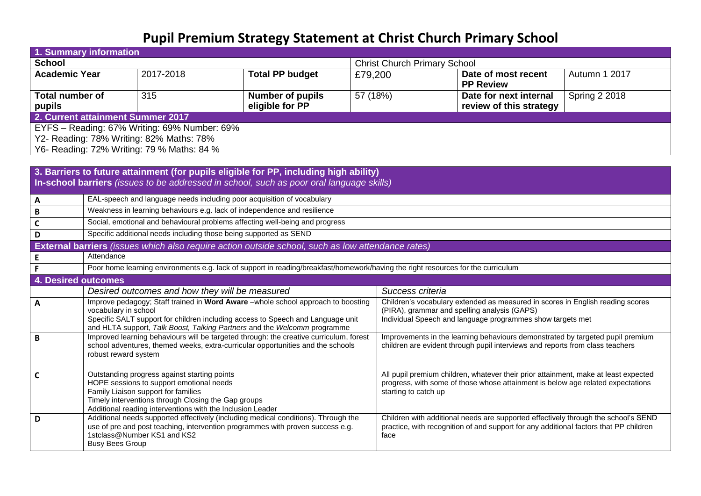## **Pupil Premium Strategy Statement at Christ Church Primary School**

| 1. Summary information                                                                                                                                                            |                                                                                                                                                                                                                                                                                                                                                                                                                                                                                                                                                                                                                                                                                                                                                                                                                                                                                                                                                                                                                                                                                                                                                                                                                                                                                                                                                                                                                                                                            |                                                                                     |                         |                                                                                |                                     |                                                                                |                      |  |  |  |  |  |
|-----------------------------------------------------------------------------------------------------------------------------------------------------------------------------------|----------------------------------------------------------------------------------------------------------------------------------------------------------------------------------------------------------------------------------------------------------------------------------------------------------------------------------------------------------------------------------------------------------------------------------------------------------------------------------------------------------------------------------------------------------------------------------------------------------------------------------------------------------------------------------------------------------------------------------------------------------------------------------------------------------------------------------------------------------------------------------------------------------------------------------------------------------------------------------------------------------------------------------------------------------------------------------------------------------------------------------------------------------------------------------------------------------------------------------------------------------------------------------------------------------------------------------------------------------------------------------------------------------------------------------------------------------------------------|-------------------------------------------------------------------------------------|-------------------------|--------------------------------------------------------------------------------|-------------------------------------|--------------------------------------------------------------------------------|----------------------|--|--|--|--|--|
| <b>School</b>                                                                                                                                                                     |                                                                                                                                                                                                                                                                                                                                                                                                                                                                                                                                                                                                                                                                                                                                                                                                                                                                                                                                                                                                                                                                                                                                                                                                                                                                                                                                                                                                                                                                            |                                                                                     |                         |                                                                                | <b>Christ Church Primary School</b> |                                                                                |                      |  |  |  |  |  |
| <b>Academic Year</b>                                                                                                                                                              |                                                                                                                                                                                                                                                                                                                                                                                                                                                                                                                                                                                                                                                                                                                                                                                                                                                                                                                                                                                                                                                                                                                                                                                                                                                                                                                                                                                                                                                                            | 2017-2018                                                                           | <b>Total PP budget</b>  | £79,200                                                                        |                                     | Date of most recent<br><b>PP Review</b>                                        | Autumn 1 2017        |  |  |  |  |  |
| <b>Total number of</b>                                                                                                                                                            |                                                                                                                                                                                                                                                                                                                                                                                                                                                                                                                                                                                                                                                                                                                                                                                                                                                                                                                                                                                                                                                                                                                                                                                                                                                                                                                                                                                                                                                                            | 315                                                                                 | <b>Number of pupils</b> | 57 (18%)                                                                       |                                     | Date for next internal                                                         | <b>Spring 2 2018</b> |  |  |  |  |  |
| pupils                                                                                                                                                                            |                                                                                                                                                                                                                                                                                                                                                                                                                                                                                                                                                                                                                                                                                                                                                                                                                                                                                                                                                                                                                                                                                                                                                                                                                                                                                                                                                                                                                                                                            |                                                                                     | eligible for PP         |                                                                                |                                     | review of this strategy                                                        |                      |  |  |  |  |  |
| 2. Current attainment Summer 2017                                                                                                                                                 |                                                                                                                                                                                                                                                                                                                                                                                                                                                                                                                                                                                                                                                                                                                                                                                                                                                                                                                                                                                                                                                                                                                                                                                                                                                                                                                                                                                                                                                                            |                                                                                     |                         |                                                                                |                                     |                                                                                |                      |  |  |  |  |  |
| EYFS - Reading: 67% Writing: 69% Number: 69%                                                                                                                                      |                                                                                                                                                                                                                                                                                                                                                                                                                                                                                                                                                                                                                                                                                                                                                                                                                                                                                                                                                                                                                                                                                                                                                                                                                                                                                                                                                                                                                                                                            |                                                                                     |                         |                                                                                |                                     |                                                                                |                      |  |  |  |  |  |
|                                                                                                                                                                                   |                                                                                                                                                                                                                                                                                                                                                                                                                                                                                                                                                                                                                                                                                                                                                                                                                                                                                                                                                                                                                                                                                                                                                                                                                                                                                                                                                                                                                                                                            | Y2- Reading: 78% Writing: 82% Maths: 78%                                            |                         |                                                                                |                                     |                                                                                |                      |  |  |  |  |  |
| Y6- Reading: 72% Writing: 79 % Maths: 84 %                                                                                                                                        |                                                                                                                                                                                                                                                                                                                                                                                                                                                                                                                                                                                                                                                                                                                                                                                                                                                                                                                                                                                                                                                                                                                                                                                                                                                                                                                                                                                                                                                                            |                                                                                     |                         |                                                                                |                                     |                                                                                |                      |  |  |  |  |  |
|                                                                                                                                                                                   |                                                                                                                                                                                                                                                                                                                                                                                                                                                                                                                                                                                                                                                                                                                                                                                                                                                                                                                                                                                                                                                                                                                                                                                                                                                                                                                                                                                                                                                                            |                                                                                     |                         |                                                                                |                                     |                                                                                |                      |  |  |  |  |  |
| 3. Barriers to future attainment (for pupils eligible for PP, including high ability)<br>In-school barriers (issues to be addressed in school, such as poor oral language skills) |                                                                                                                                                                                                                                                                                                                                                                                                                                                                                                                                                                                                                                                                                                                                                                                                                                                                                                                                                                                                                                                                                                                                                                                                                                                                                                                                                                                                                                                                            |                                                                                     |                         |                                                                                |                                     |                                                                                |                      |  |  |  |  |  |
| $\mathbf{A}$                                                                                                                                                                      | EAL-speech and language needs including poor acquisition of vocabulary                                                                                                                                                                                                                                                                                                                                                                                                                                                                                                                                                                                                                                                                                                                                                                                                                                                                                                                                                                                                                                                                                                                                                                                                                                                                                                                                                                                                     |                                                                                     |                         |                                                                                |                                     |                                                                                |                      |  |  |  |  |  |
| $\overline{B}$                                                                                                                                                                    | Weakness in learning behaviours e.g. lack of independence and resilience                                                                                                                                                                                                                                                                                                                                                                                                                                                                                                                                                                                                                                                                                                                                                                                                                                                                                                                                                                                                                                                                                                                                                                                                                                                                                                                                                                                                   |                                                                                     |                         |                                                                                |                                     |                                                                                |                      |  |  |  |  |  |
| $\mathbf c$                                                                                                                                                                       | Social, emotional and behavioural problems affecting well-being and progress                                                                                                                                                                                                                                                                                                                                                                                                                                                                                                                                                                                                                                                                                                                                                                                                                                                                                                                                                                                                                                                                                                                                                                                                                                                                                                                                                                                               |                                                                                     |                         |                                                                                |                                     |                                                                                |                      |  |  |  |  |  |
| D                                                                                                                                                                                 | Specific additional needs including those being supported as SEND                                                                                                                                                                                                                                                                                                                                                                                                                                                                                                                                                                                                                                                                                                                                                                                                                                                                                                                                                                                                                                                                                                                                                                                                                                                                                                                                                                                                          |                                                                                     |                         |                                                                                |                                     |                                                                                |                      |  |  |  |  |  |
|                                                                                                                                                                                   |                                                                                                                                                                                                                                                                                                                                                                                                                                                                                                                                                                                                                                                                                                                                                                                                                                                                                                                                                                                                                                                                                                                                                                                                                                                                                                                                                                                                                                                                            |                                                                                     |                         |                                                                                |                                     |                                                                                |                      |  |  |  |  |  |
| $\mathsf E$                                                                                                                                                                       | Attendance                                                                                                                                                                                                                                                                                                                                                                                                                                                                                                                                                                                                                                                                                                                                                                                                                                                                                                                                                                                                                                                                                                                                                                                                                                                                                                                                                                                                                                                                 |                                                                                     |                         |                                                                                |                                     |                                                                                |                      |  |  |  |  |  |
| $\mathsf F$                                                                                                                                                                       | Poor home learning environments e.g. lack of support in reading/breakfast/homework/having the right resources for the curriculum                                                                                                                                                                                                                                                                                                                                                                                                                                                                                                                                                                                                                                                                                                                                                                                                                                                                                                                                                                                                                                                                                                                                                                                                                                                                                                                                           |                                                                                     |                         |                                                                                |                                     |                                                                                |                      |  |  |  |  |  |
|                                                                                                                                                                                   |                                                                                                                                                                                                                                                                                                                                                                                                                                                                                                                                                                                                                                                                                                                                                                                                                                                                                                                                                                                                                                                                                                                                                                                                                                                                                                                                                                                                                                                                            |                                                                                     |                         |                                                                                |                                     |                                                                                |                      |  |  |  |  |  |
|                                                                                                                                                                                   | Desired outcomes and how they will be measured<br>Success criteria                                                                                                                                                                                                                                                                                                                                                                                                                                                                                                                                                                                                                                                                                                                                                                                                                                                                                                                                                                                                                                                                                                                                                                                                                                                                                                                                                                                                         |                                                                                     |                         |                                                                                |                                     |                                                                                |                      |  |  |  |  |  |
| $\mathbf{A}$                                                                                                                                                                      |                                                                                                                                                                                                                                                                                                                                                                                                                                                                                                                                                                                                                                                                                                                                                                                                                                                                                                                                                                                                                                                                                                                                                                                                                                                                                                                                                                                                                                                                            |                                                                                     |                         | Children's vocabulary extended as measured in scores in English reading scores |                                     |                                                                                |                      |  |  |  |  |  |
|                                                                                                                                                                                   |                                                                                                                                                                                                                                                                                                                                                                                                                                                                                                                                                                                                                                                                                                                                                                                                                                                                                                                                                                                                                                                                                                                                                                                                                                                                                                                                                                                                                                                                            |                                                                                     |                         |                                                                                |                                     |                                                                                |                      |  |  |  |  |  |
|                                                                                                                                                                                   |                                                                                                                                                                                                                                                                                                                                                                                                                                                                                                                                                                                                                                                                                                                                                                                                                                                                                                                                                                                                                                                                                                                                                                                                                                                                                                                                                                                                                                                                            |                                                                                     |                         |                                                                                |                                     |                                                                                |                      |  |  |  |  |  |
| $\mathbf B$                                                                                                                                                                       |                                                                                                                                                                                                                                                                                                                                                                                                                                                                                                                                                                                                                                                                                                                                                                                                                                                                                                                                                                                                                                                                                                                                                                                                                                                                                                                                                                                                                                                                            |                                                                                     |                         |                                                                                |                                     | Improvements in the learning behaviours demonstrated by targeted pupil premium |                      |  |  |  |  |  |
|                                                                                                                                                                                   |                                                                                                                                                                                                                                                                                                                                                                                                                                                                                                                                                                                                                                                                                                                                                                                                                                                                                                                                                                                                                                                                                                                                                                                                                                                                                                                                                                                                                                                                            |                                                                                     |                         |                                                                                |                                     |                                                                                |                      |  |  |  |  |  |
|                                                                                                                                                                                   |                                                                                                                                                                                                                                                                                                                                                                                                                                                                                                                                                                                                                                                                                                                                                                                                                                                                                                                                                                                                                                                                                                                                                                                                                                                                                                                                                                                                                                                                            |                                                                                     |                         |                                                                                |                                     |                                                                                |                      |  |  |  |  |  |
|                                                                                                                                                                                   |                                                                                                                                                                                                                                                                                                                                                                                                                                                                                                                                                                                                                                                                                                                                                                                                                                                                                                                                                                                                                                                                                                                                                                                                                                                                                                                                                                                                                                                                            | All pupil premium children, whatever their prior attainment, make at least expected |                         |                                                                                |                                     |                                                                                |                      |  |  |  |  |  |
|                                                                                                                                                                                   | HOPE sessions to support emotional needs<br>progress, with some of those whose attainment is below age related expectations                                                                                                                                                                                                                                                                                                                                                                                                                                                                                                                                                                                                                                                                                                                                                                                                                                                                                                                                                                                                                                                                                                                                                                                                                                                                                                                                                |                                                                                     |                         |                                                                                |                                     |                                                                                |                      |  |  |  |  |  |
|                                                                                                                                                                                   |                                                                                                                                                                                                                                                                                                                                                                                                                                                                                                                                                                                                                                                                                                                                                                                                                                                                                                                                                                                                                                                                                                                                                                                                                                                                                                                                                                                                                                                                            |                                                                                     |                         |                                                                                |                                     |                                                                                |                      |  |  |  |  |  |
|                                                                                                                                                                                   |                                                                                                                                                                                                                                                                                                                                                                                                                                                                                                                                                                                                                                                                                                                                                                                                                                                                                                                                                                                                                                                                                                                                                                                                                                                                                                                                                                                                                                                                            |                                                                                     |                         |                                                                                |                                     |                                                                                |                      |  |  |  |  |  |
| D                                                                                                                                                                                 |                                                                                                                                                                                                                                                                                                                                                                                                                                                                                                                                                                                                                                                                                                                                                                                                                                                                                                                                                                                                                                                                                                                                                                                                                                                                                                                                                                                                                                                                            |                                                                                     |                         |                                                                                |                                     |                                                                                |                      |  |  |  |  |  |
|                                                                                                                                                                                   |                                                                                                                                                                                                                                                                                                                                                                                                                                                                                                                                                                                                                                                                                                                                                                                                                                                                                                                                                                                                                                                                                                                                                                                                                                                                                                                                                                                                                                                                            |                                                                                     |                         |                                                                                |                                     |                                                                                |                      |  |  |  |  |  |
|                                                                                                                                                                                   |                                                                                                                                                                                                                                                                                                                                                                                                                                                                                                                                                                                                                                                                                                                                                                                                                                                                                                                                                                                                                                                                                                                                                                                                                                                                                                                                                                                                                                                                            |                                                                                     |                         |                                                                                |                                     |                                                                                |                      |  |  |  |  |  |
| $\mathbf c$                                                                                                                                                                       | External barriers (issues which also require action outside school, such as low attendance rates)<br><b>4. Desired outcomes</b><br>Improve pedagogy; Staff trained in Word Aware -whole school approach to boosting<br>vocabulary in school<br>(PIRA), grammar and spelling analysis (GAPS)<br>Individual Speech and language programmes show targets met<br>Specific SALT support for children including access to Speech and Language unit<br>and HLTA support, Talk Boost, Talking Partners and the Welcomm programme<br>Improved learning behaviours will be targeted through: the creative curriculum, forest<br>school adventures, themed weeks, extra-curricular opportunities and the schools<br>children are evident through pupil interviews and reports from class teachers<br>robust reward system<br>Outstanding progress against starting points<br>Family Liaison support for families<br>starting to catch up<br>Timely interventions through Closing the Gap groups<br>Additional reading interventions with the Inclusion Leader<br>Additional needs supported effectively (including medical conditions). Through the<br>Children with additional needs are supported effectively through the school's SEND<br>use of pre and post teaching, intervention programmes with proven success e.g.<br>practice, with recognition of and support for any additional factors that PP children<br>1stclass@Number KS1 and KS2<br>face<br><b>Busy Bees Group</b> |                                                                                     |                         |                                                                                |                                     |                                                                                |                      |  |  |  |  |  |